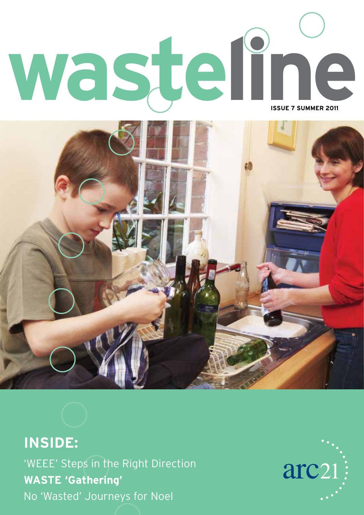



**INSIDE:** 'WEEE' Steps in the Right Direction **WASTE 'Gathering'** No 'Wasted' Journeys for Noel

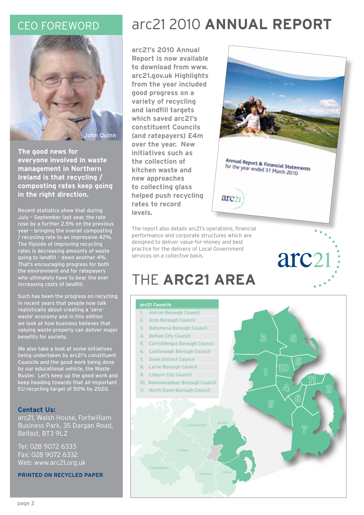

**The good news for everyone involved in waste management in Northern Ireland is that recycling / composting rates keep going in the right direction.**

Recent statistics show that during July – September last year, the rate rose by a further 2.5% on the previous year – bringing the overall composting / recycling rate to an impressive 42%. The flipside of improving recycling rates is decreasing amounts of waste going to landfill – down another 4%. That's encouraging progress for both the environment and for ratepayers who ultimately have to bear the ever increasing costs of landfill.

Such has been the progress on recycling in recent years that people now talk realistically about creating a 'zerowaste' economy and in this edition we look at how business believes that valuing waste properly can deliver major benefits for society.

We also take a look at some initiatives being undertaken by arc21's constituent Councils and the good work being done by our educational vehicle, the Waste Buster. Let's keep up the good work and keep heading towards that all-important EU recycling target of 50% by 2020.

### **Contact Us:**

arc21, Walsh House, Fortwilliam Business Park, 35 Dargan Road, Belfast, BT3 9LZ

Tel: 028 9072 6333 Fax: 028 9072 6332 Web: www.arc21.org.uk

**PRINTED ON RECYCLED PAPER**

### CEO Foreword arc21 2010 **Annual Report**

arc<sub>2</sub>

**arc21's 2010 Annual Report is now available to download from www. arc21.gov.uk Highlights from the year included good progress on a variety of recycling and landfill targets which saved arc21's constituent Councils (and ratepayers) £4m over the year. New initiatives such as the collection of kitchen waste and new approaches to collecting glass helped push recycling rates to record levels.**



arc21

Annual Report & Financial Statements Formulat Report & Financial Staten<br>for the year ended 31 March 2010

The report also details arc21's operations, financial performance and corporate structures which are designed to deliver value-for-money and best practice for the delivery of Local Government services on a collective basis.

# THE **ARC21 AREA**

### **arc21 Councils**

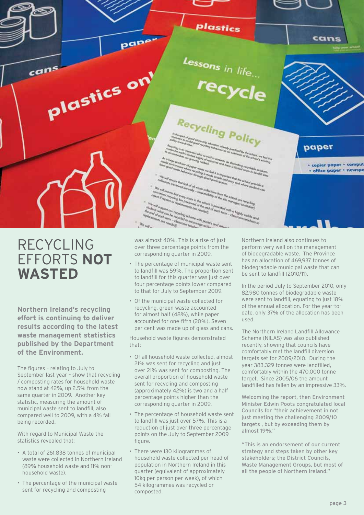plastics pape<sup>.</sup> cans  $L_{\text{essons}}$  in life...  $can<sup>s</sup>$ plastics on recycle Recycling Policy paper · copier paper · comput · office paper · newspo clay bin frees was almost 40%. This is a rise of just<br>the send of one can be required scheme was possed one of the<br>model complete one send to determine the processing of the sending<br>the send of the send of the sending of the sending of t the school is provided.<br>The and of machine ind of each term. the with posters and an<br><sup>Count</sup>in<sup>g</sup> active<br>charm

### RECYCLING EFFORTS **NOT WASTED**

**Northern Ireland's recycling effort is continuing to deliver results according to the latest waste management statistics published by the Department of the Environment.** 

The figures – relating to July to September last year – show that recycling / composting rates for household waste now stand at 42%, up 2.5% from the same quarter in 2009. Another key statistic, measuring the amount of municipal waste sent to landfill, also compared well to 2009, with a 4% fall being recorded.

With regard to Municipal Waste the statistics revealed that:

- A total of 261,838 tonnes of municipal waste were collected in Northern Ireland (89% household waste and 11% nonhousehold waste).
- The percentage of the municipal waste sent for recycling and composting

over three percentage points from the corresponding quarter in 2009.

 $\frac{W_0}{\ln W_0}$ 

- The percentage of municipal waste sent to landfill was 59%. The proportion sent to landfill for this quarter was just over four percentage points lower compared to that for July to September 2009.
- Of the municipal waste collected for recycling, green waste accounted for almost half (48%), while paper accounted for one-fifth (20%). Seven per cent was made up of glass and cans.

Household waste figures demonstrated that:

- Of all household waste collected, almost 21% was sent for recycling and just over 21% was sent for composting. The overall proportion of household waste sent for recycling and composting (approximately 42%) is two and a half percentage points higher than the corresponding quarter in 2009.
- The percentage of household waste sent to landfill was just over 57%. This is a reduction of just over three percentage points on the July to September 2009 figure.
- There were 130 kilogrammes of household waste collected per head of population in Northern Ireland in this quarter (equivalent of approximately 10kg per person per week), of which 54 kilogrammes was recycled or composted.

Northern Ireland also continues to perform very well on the management of biodegradable waste. The Province has an allocation of 469,937 tonnes of biodegradable municipal waste that can be sent to landfill (2010/11).

In the period July to September 2010, only 82,980 tonnes of biodegradable waste were sent to landfill, equating to just 18% of the annual allocation. For the year-todate, only 37% of the allocation has been used.

The Northern Ireland Landfill Allowance Scheme (NILAS) was also published recently, showing that councils have comfortably met the landfill diversion targets set for 2009/2010. During the year 383,329 tonnes were landfilled, comfortably within the 470,000 tonne target. Since 2005/06 the amount landfilled has fallen by an impressive 33%.

Welcoming the report, then Environment Minister Edwin Poots congratulated local Councils for "their achievement in not just meeting the challenging 2009/10 targets , but by exceeding them by almost 19%."

"This is an endorsement of our current strategy and steps taken by other key stakeholders; the District Councils, Waste Management Groups, but most of all the people of Northern Ireland."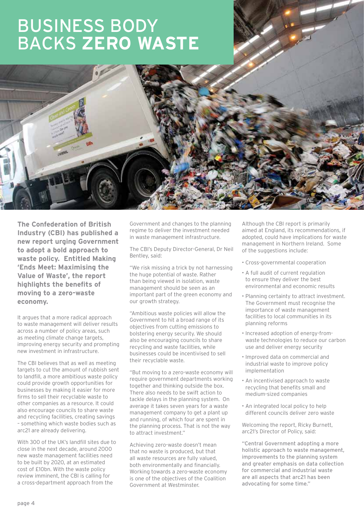# Business Body **BACKS ZERO WA**



**The Confederation of British Industry (CBI) has published a new report urging Government to adopt a bold approach to waste policy. Entitled Making 'Ends Meet: Maximising the Value of Waste', the report highlights the benefits of moving to a zero-waste economy.**

It argues that a more radical approach to waste management will deliver results across a number of policy areas, such as meeting climate change targets, improving energy security and prompting new investment in infrastructure.

The CBI believes that as well as meeting targets to cut the amount of rubbish sent to landfill, a more ambitious waste policy could provide growth opportunities for businesses by making it easier for more firms to sell their recyclable waste to other companies as a resource. It could also encourage councils to share waste and recycling facilities, creating savings – something which waste bodies such as arc21 are already delivering.

With 300 of the UK's landfill sites due to close in the next decade, around 2000 new waste management facilities need to be built by 2020, at an estimated cost of £10bn. With the waste policy review imminent, the CBI is calling for a cross-department approach from the

Government and changes to the planning regime to deliver the investment needed in waste management infrastructure.

The CBI's Deputy Director-General, Dr Neil Bentley, said:

"We risk missing a trick by not harnessing the huge potential of waste. Rather than being viewed in isolation, waste management should be seen as an important part of the green economy and our growth strategy.

"Ambitious waste policies will allow the Government to hit a broad range of its objectives from cutting emissions to bolstering energy security. We should also be encouraging councils to share recycling and waste facilities, while businesses could be incentivised to sell their recyclable waste.

"But moving to a zero-waste economy will require government departments working together and thinking outside the box. There also needs to be swift action to tackle delays in the planning system. On average it takes seven years for a waste management company to get a plant up and running, of which four are spent in the planning process. That is not the way to attract investment."

Achieving zero-waste doesn't mean that no waste is produced, but that all waste resources are fully valued, both environmentally and financially. Working towards a zero-waste economy is one of the objectives of the Coalition Government at Westminster.

Although the CBI report is primarily aimed at England, its recommendations, if adopted, could have implications for waste management in Northern Ireland. Some of the suggestions include:

- Cross-governmental cooperation
- A full audit of current regulation to ensure they deliver the best environmental and economic results
- Planning certainty to attract investment. The Government must recognise the importance of waste management facilities to local communities in its planning reforms
- Increased adoption of energy-fromwaste technologies to reduce our carbon use and deliver energy security
- Improved data on commercial and industrial waste to improve policy implementation
- An incentivised approach to waste recycling that benefits small and medium-sized companies
- An integrated local policy to help different councils deliver zero waste

Welcoming the report, Ricky Burnett, arc21's Director of Policy, said:

"Central Government adopting a more holistic approach to waste management, improvements to the planning system and greater emphasis on data collection for commercial and industrial waste are all aspects that arc21 has been advocating for some time."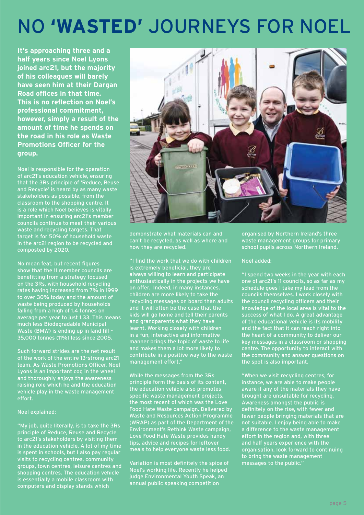# NO **'WASTED'** JOURNEYS FOR NOEL

**It's approaching three and a half years since Noel Lyons joined arc21, but the majority of his colleagues will barely have seen him at their Dargan Road offices in that time. This is no reflection on Noel's professional commitment, however, simply a result of the amount of time he spends on the road in his role as Waste Promotions Officer for the group.**

Noel is responsible for the operation of arc21's education vehicle, ensuring that the 3Rs principle of 'Reduce, Reuse and Recycle' is heard by as many waste stakeholders as possible, from the classroom to the shopping centre. It is a role which Noel believes is vitally important in ensuring arc21's member councils continue to meet their various waste and recycling targets. That target is for 50% of household waste in the arc21 region to be recycled and composted by 2020.

No mean feat, but recent figures show that the 11 member councils are benefitting from a strategy focused on the 3Rs, with household recycling rates having increased from 7% in 1999 to over 30% today and the amount of waste being produced by households falling from a high of 1.4 tonnes on average per year to just 1.33. This means much less Biodegradable Municipal Waste (BMW) is ending up in land fill – 35,000 tonnes (11%) less since 2005.

Such forward strides are the net result of the work of the entire 13-strong arc21 team. As Waste Promotions Officer, Noel Lyons is an important cog in the wheel and thoroughly enjoys the awarenessraising role which he and the education vehicle play in the waste management effort.

#### Noel explained:

"My job, quite literally, is to take the 3Rs principle of Reduce, Reuse and Recycle to arc21's stakeholders by visiting them in the education vehicle. A lot of my time is spent in schools, but I also pay regular visits to recycling centres, community groups, town centres, leisure centres and shopping centres. The education vehicle is essentially a mobile classroom with computers and display stands which



demonstrate what materials can and can't be recycled, as well as where and how they are recycled.

"I find the work that we do with children is extremely beneficial, they are always willing to learn and participate enthusiastically in the projects we have on offer. Indeed, in many instances, children are more likely to take the recycling messages on board than adults and it will often be the case that the kids will go home and tell their parents and grandparents what they have learnt. Working closely with children in a fun, interactive and informative manner brings the topic of waste to life and makes them a lot more likely to contribute in a positive way to the waste management effort."

While the messages from the 3Rs principle form the basis of its content, the education vehicle also promotes specific waste management projects, the most recent of which was the Love Food Hate Waste campaign. Delivered by Waste and Resources Action Programme (WRAP) as part of the Department of the Environment's Rethink Waste campaign, Love Food Hate Waste provides handy tips, advice and recipes for leftover meals to help everyone waste less food.

Variation is most definitely the spice of Noel's working life. Recently he helped judge Environmental Youth Speak, an annual public speaking competition

organised by Northern Ireland's three waste management groups for primary school pupils across Northern Ireland.

#### Noel added:

"I spend two weeks in the year with each one of arc21's 11 councils, so as far as my schedule goes I take my lead from the councils themselves. I work closely with the council recycling officers and their knowledge of the local area is vital to the success of what I do. A great advantage of the educational vehicle is its mobility and the fact that it can reach right into the heart of a community to deliver our key messages in a classroom or shopping centre. The opportunity to interact with the community and answer questions on the spot is also important.

"When we visit recycling centres, for instance, we are able to make people aware if any of the materials they have brought are unsuitable for recycling. Awareness amongst the public is definitely on the rise, with fewer and fewer people bringing materials that are not suitable. I enjoy being able to make a difference to the waste management effort in the region and, with three and half years experience with the organisation, look forward to continuing to bring the waste management messages to the public."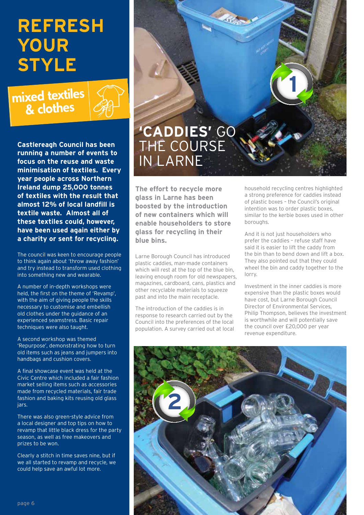# **REFRESH YOUR STYLE**

### mixed textiles & clothes



**Castlereagh Council has been running a number of events to focus on the reuse and waste minimisation of textiles. Every year people across Northern Ireland dump 25,000 tonnes of textiles with the result that almost 12% of local landfill is textile waste. Almost all of these textiles could, however, have been used again either by a charity or sent for recycling.** 

The council was keen to encourage people to think again about 'throw away fashion' and try instead to transform used clothing into something new and wearable.

A number of in-depth workshops were held, the first on the theme of 'Revamp', with the aim of giving people the skills necessary to customise and embellish old clothes under the guidance of an experienced seamstress. Basic repair techniques were also taught.

A second workshop was themed 'Repurpose', demonstrating how to turn old items such as jeans and jumpers into handbags and cushion covers.

A final showcase event was held at the Civic Centre which included a fair fashion market selling items such as accessories made from recycled materials, fair trade fashion and baking kits reusing old glass jars.

There was also green-style advice from a local designer and top tips on how to revamp that little black dress for the party season, as well as free makeovers and prizes to be won.

Clearly a stitch in time saves nine, but if we all started to revamp and recycle, we could help save an awful lot more.

## **'Caddies'** go THE COURSE in Larne

**The effort to recycle more glass in Larne has been boosted by the introduction of new containers which will enable householders to store glass for recycling in their blue bins.**

Larne Borough Council has introduced plastic caddies, man-made containers which will rest at the top of the blue bin, leaving enough room for old newspapers, magazines, cardboard, cans, plastics and other recyclable materials to squeeze past and into the main receptacle.

The introduction of the caddies is in response to research carried out by the Council into the preferences of the local population. A survey carried out at local household recycling centres highlighted a strong preference for caddies instead of plastic boxes – the Council's original intention was to order plastic boxes, similar to the kerbie boxes used in other boroughs.

**1**

And it is not just householders who prefer the caddies – refuse staff have said it is easier to lift the caddy from the bin than to bend down and lift a box. They also pointed out that they could wheel the bin and caddy together to the lorry.

Investment in the inner caddies is more expensive than the plastic boxes would have cost, but Larne Borough Council Director of Environmental Services, Philip Thompson, believes the investment is worthwhile and will potentially save the council over £20,000 per year revenue expenditure.

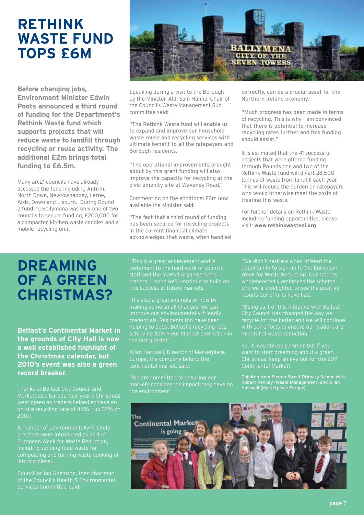### **RETHINK WASTE FUND TOPS £6M**

**Before changing jobs, Environment Minister Edwin Poots announced a third round of funding for the Department's Rethink Waste fund which supports projects that will reduce waste to landfill through recycling or reuse activity. The additional £2m brings total funding to £6.5m.**

Many arc21 councils have already accessed the fund including Antrim, North Down, Newtownabbey, Larne, Ards, Down and Lisburn. During Round 2 funding Ballymena was only one of two councils to secure funding, £200,000 for a compacter, kitchen waste caddies and a mobile recycling unit.



Speaking during a visit to the Borough by the Minister, Ald. Sam Hanna, Chair of the Council's Waste Management Subcommittee said:

"The Rethink Waste fund will enable us to expand and improve our household waste reuse and recycling services with ultimate benefit to all the ratepayers and Borough residents.

"The operational improvements brought about by this grant funding will also improve the capacity for recycling at the civic amenity site at Waveney Road."

Commenting on the additional £2m now available the Minister said:

"The fact that a third round of funding has been secured for recycling projects in the current financial climate acknowledges that waste, when handled correctly, can be a crucial asset for the Northern Ireland economy.

"Much progress has been made in terms of recycling. This is why I am convinced that there is potential to increase recycling rates further and this funding should assist."

It is estimated that the 41 successful projects that were offered funding through Rounds one and two of the Rethink Waste fund will divert 28,500 tonnes of waste from landfill each year. This will reduce the burden on ratepayers who would otherwise meet the costs of treating this waste.

For further details on Rethink Waste, including funding opportunities, please visit: **www.rethinkwasteni.org**

### **Dreaming of a Green Christmas?**

**Belfast's Continental Market in the grounds of City Hall is now a well established highlight of the Christmas calendar, but 2010's event was also a green record breaker.** 

Thanks to Belfast City Council and 2009.

A number of environmentally-friendly practices were introduced as part of European Week for Waste Reduction, including sending food waste for composting and turning waste cooking oil into bio-diesel.

Councillor Ian Adamson, then chairman of the Council's Health & Environmental Services Committee, said:

this success at future markets.

"It's also a great example of how by making some small changes, we can improve our environmentally-friendly credentials. Residents too have been

Allan Hartwell, Director of Marketplace Europe, the company behind the continental market, said:

the environment.

results our efforts have had.

"Being part of this initiative with Belfast mindful of waste reduction."

So, it may still be summer, but if you want to start dreaming about a green Christmas, keep an eye out for the 2011 Continental Market!

Robert Penney (Waste Management) and Allan Hartwell (Marketplace Europe).

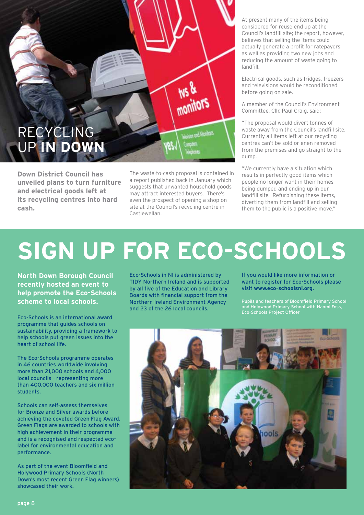

**Down District Council has unveiled plans to turn furniture and electrical goods left at its recycling centres into hard cash.** 

The waste-to-cash proposal is contained in a report published back in January which suggests that unwanted household goods may attract interested buyers. There's even the prospect of opening a shop on site at the Council's recycling centre in Castlewellan.

At present many of the items being considered for reuse end up at the Council's landfill site; the report, however, believes that selling the items could actually generate a profit for ratepayers as well as providing two new jobs and reducing the amount of waste going to landfill.

Electrical goods, such as fridges, freezers and televisions would be reconditioned before going on sale.

A member of the Council's Environment Committee, Cllr. Paul Craig, said:

"The proposal would divert tonnes of waste away from the Council's landfill site. Currently all items left at our recycling centres can't be sold or enen removed from the premises and go straight to the dump.

"We currently have a situation which results in perfectly good items which people no longer want in their homes being dumped and ending up in our landfill site. Refurbishing these items, diverting them from landfill and selling them to the public is a positive move."

# **Sign up for Eco-Schools**

**North Down Borough Council recently hosted an event to help promote the Eco-Schools scheme to local schools.**

Eco-Schools is an international award programme that guides schools on sustainability, providing a framework to help schools put green issues into the heart of school life.

The Eco-Schools programme operates in 46 countries worldwide involving more than 21,000 schools and 4,000 local councils - representing more than 400,000 teachers and six million students.

Schools can self-assess themselves for Bronze and Silver awards before achieving the coveted Green Flag Award. Green Flags are awarded to schools with high achievement in their programme and is a recognised and respected ecolabel for environmental education and performance.

As part of the event Bloomfield and Holywood Primary Schools (North Down's most recent Green Flag winners) showcased their work.

Eco-Schools in NI is administered by TIDY Northern Ireland and is supported by all five of the Education and Library Boards with financial support from the Northern Ireland Environment Agency and 23 of the 26 local councils.

If you would like more information or want to register for Eco-Schools please visit **www.eco-schoolsni.org.** 

Pupils and teachers of Bloomfield Primary School Eco-Schools Project Officer

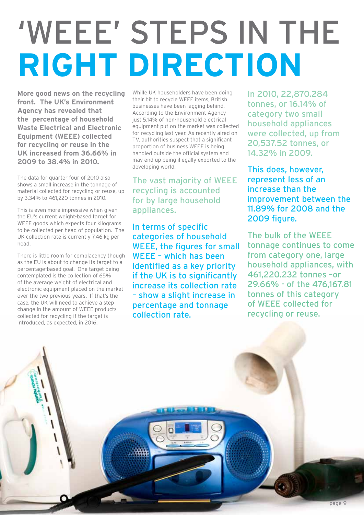# 'WEEE' STEPS IN THE **RIGHT DIRECTION**

**More good news on the recycling front. The UK's Environment Agency has revealed that the percentage of household Waste Electrical and Electronic Equipment (WEEE) collected for recycling or reuse in the UK increased from 36.66% in 2009 to 38.4% in 2010.** 

The data for quarter four of 2010 also shows a small increase in the tonnage of material collected for recycling or reuse, up by 3.34% to 461,220 tonnes in 2010.

This is even more impressive when given the EU's current weight-based target for WEEE goods which expects four kilograms to be collected per head of population. The UK collection rate is currently 7.46 kg per head.

There is little room for complacency though as the EU is about to change its target to a percentage-based goal. One target being contemplated is the collection of 65% of the average weight of electrical and electronic equipment placed on the market over the two previous years. If that's the case, the UK will need to achieve a step change in the amount of WEEE products collected for recycling if the target is introduced, as expected, in 2016.

Whille UK householders have been doing their bit to recycle WEEE items, British businesses have been lagging behind. According to the Environment Agency just 5.14% of non-household electrical equipment put on the market was collected for recycling last year. As recently aired on TV, authorities suspect that a significant proportion of business WEEE is being handled outside the official system and may end up being illegally exported to the developing world.

The vast majority of WEEE recycling is accounted for by large household appliances.

In terms of specific categories of household WEEE, the figures for small WEEE – which has been identified as a key priority if the UK is to significantly increase its collection rate – show a slight increase in percentage and tonnage collection rate.

In 2010, 22,870.284 tonnes, or 16.14% of category two small household appliances were collected, up from 20,537.52 tonnes, or 14.32% in 2009.

This does, however, represent less of an increase than the improvement between the 11.89% for 2008 and the 2009 figure.

The bulk of the WEEE tonnage continues to come from category one, large household appliances, with 461,220.232 tonnes –or 29.66% - of the 476,167.81 tonnes of this category of WEEE collected for recycling or reuse.

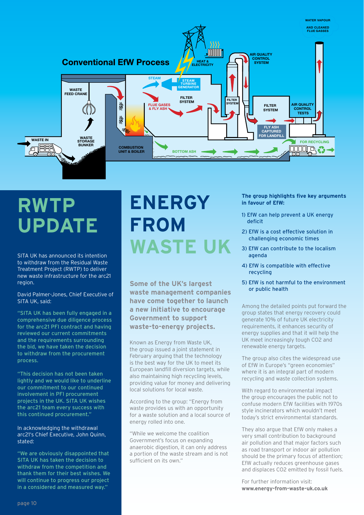

# **RWTP Update**

SITA UK has announced its intention to withdraw from the Residual Waste Treatment Project (RWTP) to deliver new waste infrastructure for the arc21 region.

David Palmer-Jones, Chief Executive of SITA UK, said:

"SITA UK has been fully engaged in a comprehensive due diligence process for the arc21 PFI contract and having reviewed our current commitments and the requirements surrounding the bid, we have taken the decision to withdraw from the procurement process.

"This decision has not been taken lightly and we would like to underline our commitment to our continued involvement in PFI procurement projects in the UK. SITA UK wishes the arc21 team every success with this continued procurement."

#### In acknowledging the withdrawal arc21's Chief Executive, John Quinn, stated:

"We are obviously disappointed that SITA UK has taken the decision to withdraw from the competition and thank them for their best wishes. We will continue to progress our project in a considered and measured way."

# **Energy from Waste UK**

**Some of the UK's largest waste management companies have come together to launch a new initiative to encourage Government to support waste-to-energy projects.**

Known as Energy from Waste UK, the group issued a joint statement in February arguing that the technology is the best way for the UK to meet its European landfill diversion targets, while also maintaining high recycling levels, providing value for money and delivering local solutions for local waste.

According to the group: "Energy from waste provides us with an opportunity for a waste solution and a local source of energy rolled into one.

"While we welcome the coalition Government's focus on expanding anaerobic digestion, it can only address a portion of the waste stream and is not sufficient on its own."

**The group highlights five key arguments in favour of EfW:**

- 1) EfW can help prevent a UK energy deficit
- 2) EfW is a cost effective solution in challenging economic times
- 3) EfW can contribute to the localism agenda
- 4) EfW is compatible with effective recycling
- 5) EfW is not harmful to the environment or public health

Among the detailed points put forward the group states that energy recovery could generate 10% of future UK electricity requirements, it enhances security of energy supplies and that it will help the UK meet increasingly tough CO2 and renewable energy targets.

The group also cites the widespread use of EfW in Europe's "green economies" where it is an integral part of modern recycling and waste collection systems.

With regard to environmental impact the group encourages the public not to confuse modern EfW facilities with 1970s style incinerators which wouldn't meet today's strict environmental standards.

They also argue that EfW only makes a very small contribution to background air pollution and that major factors such as road transport or indoor air pollution should be the primary focus of attention; EfW actually reduces greenhouse gases and displaces CO2 emitted by fossil fuels.

For further information visit: **www.energy-from-waste-uk.co.uk**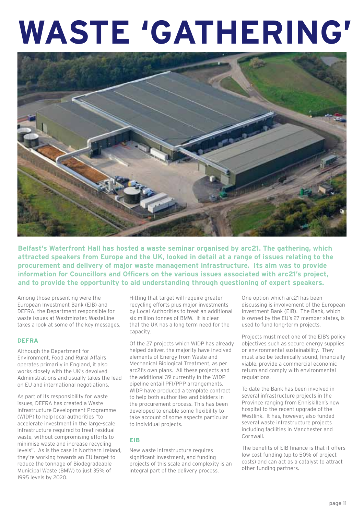# WASTE 'GATHERING'



**Belfast's Waterfront Hall has hosted a waste seminar organised by arc21. The gathering, which attracted speakers from Europe and the UK, looked in detail at a range of issues relating to the procurement and delivery of major waste management infrastructure. Its aim was to provide information for Councillors and Officers on the various issues associated with arc21's project, and to provide the opportunity to aid understanding through questioning of expert speakers.**

Among those presenting were the European Investment Bank (EIB) and DEFRA, the Department responsible for waste issues at Westminster. WasteLine takes a look at some of the key messages.

### **DEFRA**

Although the Department for Environment, Food and Rural Affairs operates primarily in England, it also works closely with the UK's devolved Administrations and usually takes the lead on EU and international negotiations.

As part of its responsibility for waste issues, DEFRA has created a Waste Infrastructure Development Programme (WIDP) to help local authorities "to accelerate investment in the large-scale infrastructure required to treat residual waste, without compromising efforts to minimise waste and increase recycling levels". As is the case in Northern Ireland, they're working towards an EU target to reduce the tonnage of Biodegradeable Municipal Waste (BMW) to just 35% of 1995 levels by 2020.

Hitting that target will require greater recycling efforts plus major investments by Local Authorities to treat an additional six million tonnes of BMW. It is clear that the UK has a long term need for the capacity.

Of the 27 projects which WIDP has already helped deliver, the majority have involved elements of Energy from Waste and Mechanical Biological Treatment, as per arc21's own plans. All these projects and the additional 39 currently in the WIDP pipeline entail PFI/PPP arrangements. WIDP have produced a template contract to help both authorities and bidders in the procurement process. This has been developed to enable some flexibility to take account of some aspects particular to individual projects.

### **EIB**

New waste infrastructure requires significant investment, and funding projects of this scale and complexity is an integral part of the delivery process.

One option which arc21 has been discussing is involvement of the European Investment Bank (EIB). The Bank, which is owned by the EU's 27 member states, is used to fund long-term projects.

Projects must meet one of the EIB's policy objectives such as secure energy supplies or environmental sustainability. They must also be technically sound, financially viable, provide a commercial economic return and comply with environmental regulations.

To date the Bank has been involved in several infrastructure projects in the Province ranging from Enniskillen's new hospital to the recent upgrade of the Westlink. It has, however, also funded several waste infrastructure projects including facilities in Manchester and Cornwall.

The benefits of EIB finance is that it offers low cost funding (up to 50% of project costs) and can act as a catalyst to attract other funding partners.